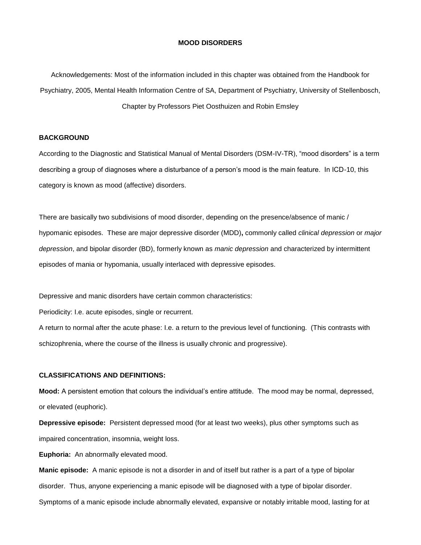#### **MOOD DISORDERS**

Acknowledgements: Most of the information included in this chapter was obtained from the Handbook for Psychiatry, 2005, Mental Health Information Centre of SA, Department of Psychiatry, University of Stellenbosch, Chapter by Professors Piet Oosthuizen and Robin Emsley

# **BACKGROUND**

According to the Diagnostic and Statistical Manual of Mental Disorders (DSM-IV-TR), "mood disorders" is a term describing a group of diagnoses where a disturbance of a person's mood is the main feature. In ICD-10, this category is known as mood (affective) disorders.

There are basically two subdivisions of mood disorder, depending on the presence/absence of manic / hypomanic episodes. These are major depressive disorder (MDD)**,** commonly called *clinical depression* or *major depression*, and bipolar disorder (BD), formerly known as *manic depression* and characterized by intermittent episodes of mania or hypomania, usually interlaced with depressive episodes.

Depressive and manic disorders have certain common characteristics:

Periodicity: I.e. acute episodes, single or recurrent.

A return to normal after the acute phase: I.e. a return to the previous level of functioning. (This contrasts with schizophrenia, where the course of the illness is usually chronic and progressive).

# **CLASSIFICATIONS AND DEFINITIONS:**

**Mood:** A persistent emotion that colours the individual's entire attitude. The mood may be normal, depressed, or elevated (euphoric).

**Depressive episode:** Persistent depressed mood (for at least two weeks), plus other symptoms such as impaired concentration, insomnia, weight loss.

**Euphoria:** An abnormally elevated mood.

**Manic episode:** A manic episode is not a disorder in and of itself but rather is a part of a type of bipolar disorder. Thus, anyone experiencing a manic episode will be diagnosed with a type of bipolar disorder. Symptoms of a manic episode include abnormally elevated, expansive or notably irritable mood, lasting for at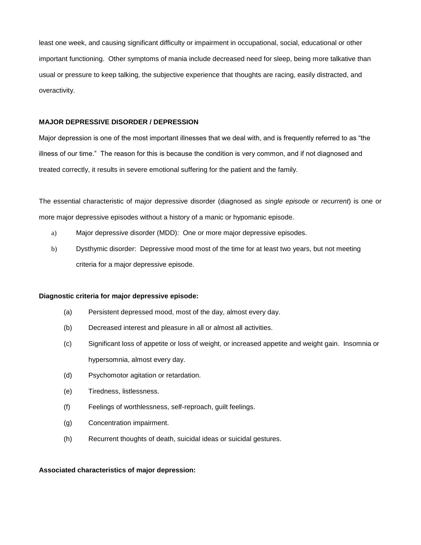least one week, and causing significant difficulty or impairment in occupational, social, educational or other important functioning. Other symptoms of mania include decreased need for sleep, being more talkative than usual or pressure to keep talking, the subjective experience that thoughts are racing, easily distracted, and overactivity.

# **MAJOR DEPRESSIVE DISORDER / DEPRESSION**

Major depression is one of the most important illnesses that we deal with, and is frequently referred to as "the illness of our time." The reason for this is because the condition is very common, and if not diagnosed and treated correctly, it results in severe emotional suffering for the patient and the family.

The essential characteristic of major depressive disorder (diagnosed as *single episode* or *recurrent*) is one or more major depressive episodes without a history of a manic or hypomanic episode.

- a) Major depressive disorder (MDD): One or more major depressive episodes.
- b) Dysthymic disorder: Depressive mood most of the time for at least two years, but not meeting criteria for a major depressive episode.

# **Diagnostic criteria for major depressive episode:**

- (a) Persistent depressed mood, most of the day, almost every day.
- (b) Decreased interest and pleasure in all or almost all activities.
- (c) Significant loss of appetite or loss of weight, or increased appetite and weight gain. Insomnia or hypersomnia, almost every day.
- (d) Psychomotor agitation or retardation.
- (e) Tiredness, listlessness.
- (f) Feelings of worthlessness, self-reproach, guilt feelings.
- (g) Concentration impairment.
- (h) Recurrent thoughts of death, suicidal ideas or suicidal gestures.

# **Associated characteristics of major depression:**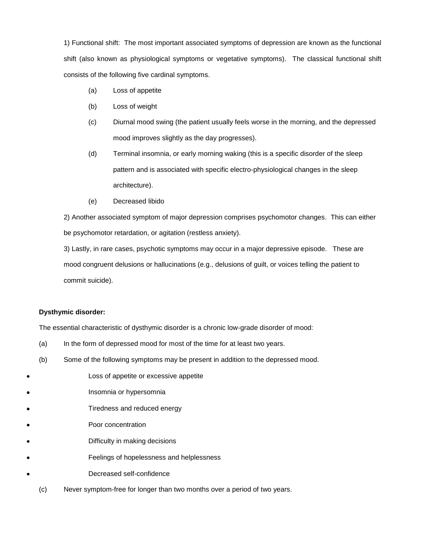1) Functional shift: The most important associated symptoms of depression are known as the functional shift (also known as physiological symptoms or vegetative symptoms). The classical functional shift consists of the following five cardinal symptoms.

- (a) Loss of appetite
- (b) Loss of weight
- (c) Diurnal mood swing (the patient usually feels worse in the morning, and the depressed mood improves slightly as the day progresses).
- (d) Terminal insomnia, or early morning waking (this is a specific disorder of the sleep pattern and is associated with specific electro-physiological changes in the sleep architecture).
- (e) Decreased libido

2) Another associated symptom of major depression comprises psychomotor changes. This can either be psychomotor retardation, or agitation (restless anxiety).

3) Lastly, in rare cases, psychotic symptoms may occur in a major depressive episode. These are mood congruent delusions or hallucinations (e.g., delusions of guilt, or voices telling the patient to commit suicide).

# **Dysthymic disorder:**

The essential characteristic of dysthymic disorder is a chronic low-grade disorder of mood:

- (a) In the form of depressed mood for most of the time for at least two years.
- (b) Some of the following symptoms may be present in addition to the depressed mood.
- Loss of appetite or excessive appetite
- Insomnia or hypersomnia
- Tiredness and reduced energy
- Poor concentration
- Difficulty in making decisions
- Feelings of hopelessness and helplessness
- Decreased self-confidence
	- (c) Never symptom-free for longer than two months over a period of two years.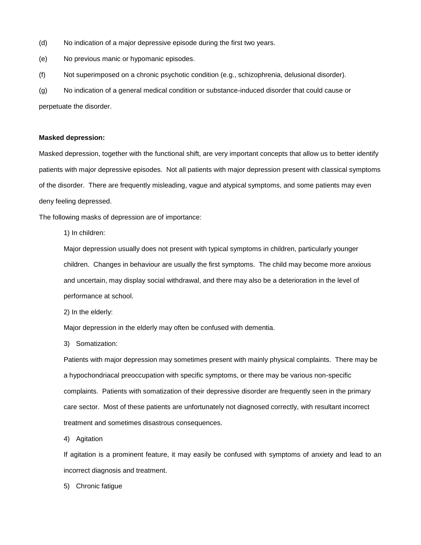- (d) No indication of a major depressive episode during the first two years.
- (e) No previous manic or hypomanic episodes.
- (f) Not superimposed on a chronic psychotic condition (e.g., schizophrenia, delusional disorder).

(g) No indication of a general medical condition or substance-induced disorder that could cause or perpetuate the disorder.

#### **Masked depression:**

Masked depression, together with the functional shift, are very important concepts that allow us to better identify patients with major depressive episodes. Not all patients with major depression present with classical symptoms of the disorder. There are frequently misleading, vague and atypical symptoms, and some patients may even deny feeling depressed.

The following masks of depression are of importance:

1) In children:

Major depression usually does not present with typical symptoms in children, particularly younger children. Changes in behaviour are usually the first symptoms. The child may become more anxious and uncertain, may display social withdrawal, and there may also be a deterioration in the level of performance at school.

2) In the elderly:

Major depression in the elderly may often be confused with dementia.

3) Somatization:

Patients with major depression may sometimes present with mainly physical complaints. There may be a hypochondriacal preoccupation with specific symptoms, or there may be various non-specific complaints. Patients with somatization of their depressive disorder are frequently seen in the primary care sector. Most of these patients are unfortunately not diagnosed correctly, with resultant incorrect treatment and sometimes disastrous consequences.

4) Agitation

If agitation is a prominent feature, it may easily be confused with symptoms of anxiety and lead to an incorrect diagnosis and treatment.

5) Chronic fatigue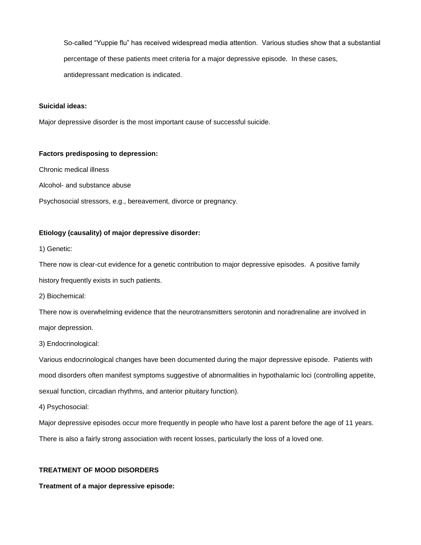So-called "Yuppie flu" has received widespread media attention. Various studies show that a substantial percentage of these patients meet criteria for a major depressive episode. In these cases, antidepressant medication is indicated.

# **Suicidal ideas:**

Major depressive disorder is the most important cause of successful suicide.

### **Factors predisposing to depression:**

Chronic medical illness

Alcohol- and substance abuse

Psychosocial stressors, e.g., bereavement, divorce or pregnancy.

### **Etiology (causality) of major depressive disorder:**

1) Genetic:

There now is clear-cut evidence for a genetic contribution to major depressive episodes. A positive family history frequently exists in such patients.

2) Biochemical:

There now is overwhelming evidence that the neurotransmitters serotonin and noradrenaline are involved in major depression.

3) Endocrinological:

Various endocrinological changes have been documented during the major depressive episode. Patients with mood disorders often manifest symptoms suggestive of abnormalities in hypothalamic loci (controlling appetite, sexual function, circadian rhythms, and anterior pituitary function).

4) Psychosocial:

Major depressive episodes occur more frequently in people who have lost a parent before the age of 11 years.

There is also a fairly strong association with recent losses, particularly the loss of a loved one.

# **TREATMENT OF MOOD DISORDERS**

**Treatment of a major depressive episode:**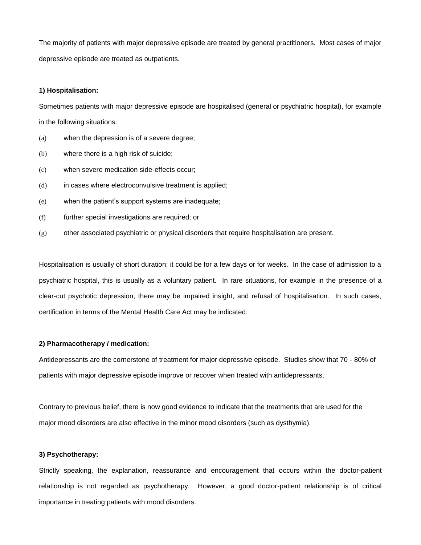The majority of patients with major depressive episode are treated by general practitioners. Most cases of major depressive episode are treated as outpatients.

# **1) Hospitalisation:**

Sometimes patients with major depressive episode are hospitalised (general or psychiatric hospital), for example in the following situations:

- (a) when the depression is of a severe degree;
- (b) where there is a high risk of suicide;
- (c) when severe medication side-effects occur;
- (d) in cases where electroconvulsive treatment is applied;
- (e) when the patient's support systems are inadequate;
- (f) further special investigations are required; or
- (g) other associated psychiatric or physical disorders that require hospitalisation are present.

Hospitalisation is usually of short duration; it could be for a few days or for weeks. In the case of admission to a psychiatric hospital, this is usually as a voluntary patient. In rare situations, for example in the presence of a clear-cut psychotic depression, there may be impaired insight, and refusal of hospitalisation. In such cases, certification in terms of the Mental Health Care Act may be indicated.

#### **2) Pharmacotherapy / medication:**

Antidepressants are the cornerstone of treatment for major depressive episode. Studies show that 70 - 80% of patients with major depressive episode improve or recover when treated with antidepressants.

Contrary to previous belief, there is now good evidence to indicate that the treatments that are used for the major mood disorders are also effective in the minor mood disorders (such as dysthymia).

# **3) Psychotherapy:**

Strictly speaking, the explanation, reassurance and encouragement that occurs within the doctor-patient relationship is not regarded as psychotherapy. However, a good doctor-patient relationship is of critical importance in treating patients with mood disorders.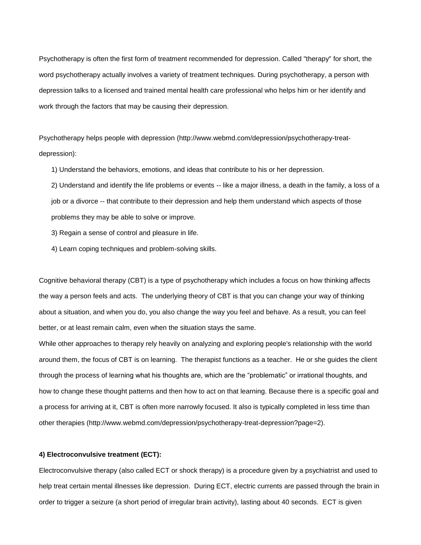Psychotherapy is often the first form of treatment recommended for depression. Called "therapy" for short, the word psychotherapy actually involves a variety of treatment techniques. During psychotherapy, a person with depression talks to a licensed and trained mental health care professional who helps him or her identify and work through the factors that may be causing their [depression.](http://www.webmd.com/depression/guide/causes-depression)

Psychotherapy helps people with depression (http://www.webmd.com/depression/psychotherapy-treatdepression):

1) Understand the behaviors, emotions, and ideas that contribute to his or her depression.

2) Understand and identify the life problems or events -- like a major illness, a death in the family, a loss of a job or a divorce -- that contribute to their depression and help them understand which aspects of those problems they may be able to solve or improve.

3) Regain a sense of control and pleasure in life.

4) Learn coping techniques and problem-solving skills.

Cognitive behavioral therapy (CBT) is a type of psychotherapy which includes a focus on how thinking affects the way a person feels and acts. The underlying theory of CBT is that you can change your way of thinking about a situation, and when you do, you also change the way you feel and behave. As a result, you can feel better, or at least remain calm, even when the situation stays the same.

While other approaches to therapy rely heavily on analyzing and exploring people's relationship with the world around them, the focus of CBT is on learning. The therapist functions as a teacher. He or she guides the client through the process of learning what his thoughts are, which are the "problematic" or irrational thoughts, and how to change these thought patterns and then how to act on that learning. Because there is a specific goal and a process for arriving at it, CBT is often more narrowly focused. It also is typically completed in less time than other therapies (http://www.webmd.com/depression/psychotherapy-treat-depression?page=2).

# **4) Electroconvulsive treatment (ECT):**

Electroconvulsive therapy (also called ECT or shock therapy) is a procedure given by a psychiatrist and used to help treat certain mental illnesses like depression. During ECT, electric currents are passed through the brain in order to trigger a seizure (a short period of irregular brain activity), lasting about 40 seconds. ECT is given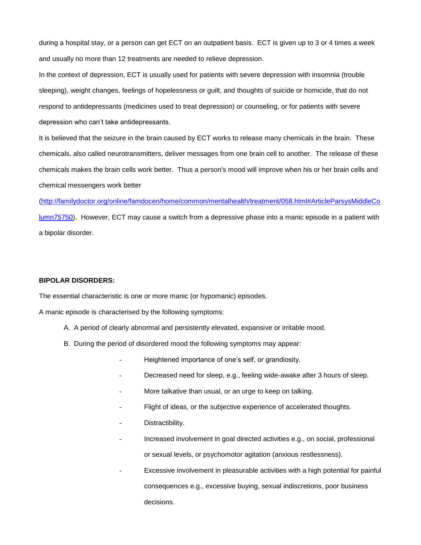during a hospital stay, or a person can get ECT on an outpatient basis. ECT is given up to 3 or 4 times a week and usually no more than 12 treatments are needed to relieve depression.

In the context of depression, ECT is usually used for patients with severe depression with insomnia (trouble sleeping), weight changes, feelings of hopelessness or guilt, and thoughts of suicide or homicide, that do not respond to antidepressants (medicines used to treat depression) or counseling, or for patients with severe depression who can't take antidepressants.

It is believed that the seizure in the brain caused by ECT works to release many chemicals in the brain. These chemicals, also called neurotransmitters, deliver messages from one brain cell to another. The release of these chemicals makes the brain cells work better. Thus a person's mood will improve when his or her brain cells and chemical messengers work better

[\(http://familydoctor.org/online/famdocen/home/common/mentalhealth/treatment/058.html#ArticleParsysMiddleCo](http://familydoctor.org/online/famdocen/home/common/mentalhealth/treatment/058.html#ArticleParsysMiddleColumn75750) [lumn75750\)](http://familydoctor.org/online/famdocen/home/common/mentalhealth/treatment/058.html#ArticleParsysMiddleColumn75750). However, ECT may cause a switch from a depressive phase into a manic episode in a patient with a bipolar disorder.

# **BIPOLAR DISORDERS:**

The essential characteristic is one or more manic (or hypomanic) episodes.

A manic episode is characterised by the following symptoms:

- A. A period of clearly abnormal and persistently elevated, expansive or irritable mood.
- B. During the period of disordered mood the following symptoms may appear:
	- Heightened importance of one's self, or grandiosity.
	- Decreased need for sleep, e.g., feeling wide-awake after 3 hours of sleep.
	- More talkative than usual, or an urge to keep on talking.
	- Flight of ideas, or the subjective experience of accelerated thoughts.
	- Distractibility.
	- Increased involvement in goal directed activities e.g., on social, professional or sexual levels, or psychomotor agitation (anxious restlessness).
	- Excessive involvement in pleasurable activities with a high potential for painful consequences e.g., excessive buying, sexual indiscretions, poor business decisions.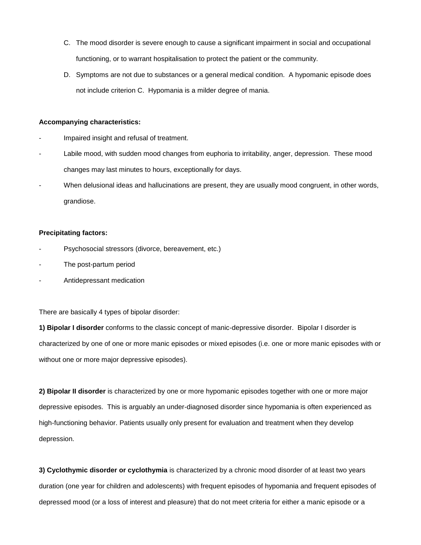- C. The mood disorder is severe enough to cause a significant impairment in social and occupational functioning, or to warrant hospitalisation to protect the patient or the community.
- D. Symptoms are not due to substances or a general medical condition. A hypomanic episode does not include criterion C. Hypomania is a milder degree of mania.

### **Accompanying characteristics:**

- Impaired insight and refusal of treatment.
- Labile mood, with sudden mood changes from euphoria to irritability, anger, depression. These mood changes may last minutes to hours, exceptionally for days.
- When delusional ideas and hallucinations are present, they are usually mood congruent, in other words, grandiose.

### **Precipitating factors:**

- Psychosocial stressors (divorce, bereavement, etc.)
- The post-partum period
- Antidepressant medication

There are basically 4 types of bipolar disorder:

**1) Bipolar I disorder** conforms to the classic concept of manic-depressive disorder. Bipolar I disorder is characterized by one of one or more manic episodes or mixed episodes (i.e. one or more manic episodes with or without one or more major depressive episodes).

**2) Bipolar II disorder** is characterized by one or more hypomanic episodes together with one or more major depressive episodes. This is arguably an under-diagnosed disorder since hypomania is often experienced as high-functioning behavior. Patients usually only present for evaluation and treatment when they develop depression.

**3) Cyclothymic disorder or cyclothymia** is characterized by a chronic mood disorder of at least two years duration (one year for children and adolescents) with frequent episodes of hypomania and frequent episodes of depressed mood (or a loss of interest and pleasure) that do not meet criteria for either a manic episode or a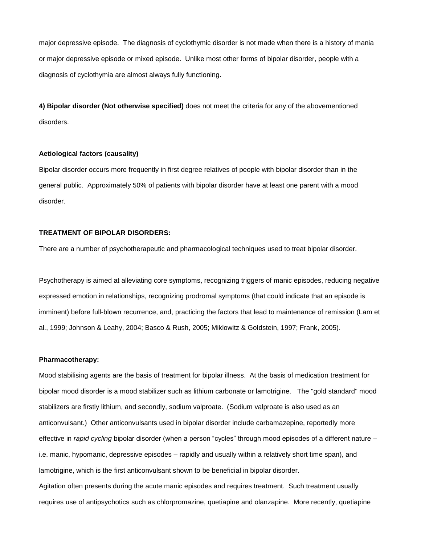major depressive episode. The diagnosis of cyclothymic disorder is not made when there is a history of mania or major depressive episode or mixed episode. Unlike most other forms of bipolar disorder, people with a diagnosis of cyclothymia are almost always fully functioning.

**4) Bipolar disorder (Not otherwise specified)** does not meet the criteria for any of the abovementioned disorders.

#### **Aetiological factors (causality)**

Bipolar disorder occurs more frequently in first degree relatives of people with bipolar disorder than in the general public. Approximately 50% of patients with bipolar disorder have at least one parent with a mood disorder.

### **TREATMENT OF BIPOLAR DISORDERS:**

There are a number of psychotherapeutic and pharmacological techniques used to treat bipolar disorder.

Psychotherapy is aimed at alleviating core symptoms, recognizing triggers of manic episodes, reducing negative expressed emotion in relationships, recognizing prodromal symptoms (that could indicate that an episode is imminent) before full-blown recurrence, and, practicing the factors that lead to maintenance of remission (Lam et al., 1999; Johnson & Leahy, 2004; Basco & Rush, 2005; Miklowitz & Goldstein, 1997; Frank, 2005).

### **Pharmacotherapy:**

Mood stabilising agents are the basis of treatment for bipolar illness. At the basis of medication treatment for bipolar mood disorder is a mood stabilizer such as lithium carbonate or lamotrigine. The "gold standard" mood stabilizers are firstly lithium, and secondly, sodium valproate. (Sodium valproate is also used as an anticonvulsant.) Other anticonvulsants used in bipolar disorder include carbamazepine, reportedly more effective in *rapid cycling* bipolar disorder (when a person "cycles" through mood episodes of a different nature – i.e. manic, hypomanic, depressive episodes – rapidly and usually within a relatively short time span), and lamotrigine, which is the first anticonvulsant shown to be beneficial in bipolar disorder.

Agitation often presents during the acute manic episodes and requires treatment. Such treatment usually requires use of antipsychotics such as chlorpromazine, quetiapine and olanzapine. More recently, quetiapine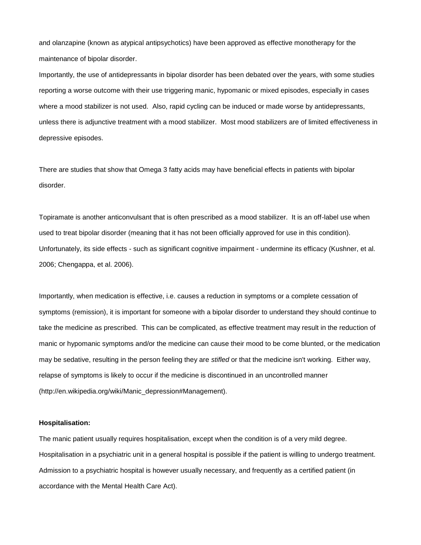and olanzapine (known as atypical antipsychotics) have been approved as effective monotherapy for the maintenance of bipolar disorder.

Importantly, the use of antidepressants in bipolar disorder has been debated over the years, with some studies reporting a worse outcome with their use triggering manic, hypomanic or mixed episodes, especially in cases where a mood stabilizer is not used. Also, rapid cycling can be induced or made worse by antidepressants, unless there is adjunctive treatment with a mood stabilizer. Most mood stabilizers are of limited effectiveness in depressive episodes.

There are studies that show that Omega 3 fatty acids may have beneficial effects in patients with bipolar disorder.

Topiramate is another anticonvulsant that is often prescribed as a mood stabilizer. It is an off-label use when used to treat bipolar disorder (meaning that it has not been officially approved for use in this condition). Unfortunately, its side effects - such as significant cognitive impairment - undermine its efficacy (Kushner, et al. 2006; Chengappa, et al. 2006).

Importantly, when medication is effective, i.e. causes a reduction in symptoms or a complete cessation of symptoms (remission), it is important for someone with a bipolar disorder to understand they should continue to take the medicine as prescribed. This can be complicated, as effective treatment may result in the reduction of manic or hypomanic symptoms and/or the medicine can cause their mood to be come blunted, or the medication may be sedative, resulting in the person feeling they are *stifled* or that the medicine isn't working. Either way, relapse of symptoms is likely to occur if the medicine is discontinued in an uncontrolled manner (http://en.wikipedia.org/wiki/Manic\_depression#Management).

#### **Hospitalisation:**

The manic patient usually requires hospitalisation, except when the condition is of a very mild degree. Hospitalisation in a psychiatric unit in a general hospital is possible if the patient is willing to undergo treatment. Admission to a psychiatric hospital is however usually necessary, and frequently as a certified patient (in accordance with the Mental Health Care Act).